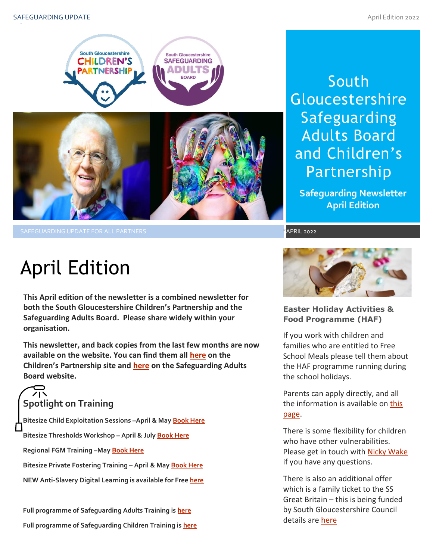

South Gloucestershire Safeguarding Adults Board and Children's Partnership

**Safeguarding Newsletter April Edition**

.<br>APRIL 2022

# April Edition

**This April edition of the newsletter is a combined newsletter for both the South Gloucestershire Children's Partnership and the Safeguarding Adults Board. Please share widely within your organisation.**

**This newsletter, and back copies from the last few months are now available on the website. You can find them all [here](https://sites.southglos.gov.uk/safeguarding/children/safeguarding-children-board/scb-minutes-of-meetings/) on the Children's Partnership site and [here](https://sites.southglos.gov.uk/safeguarding/adults/safeguarding-adults-board/newsletters-2/) on the Safeguarding Adults Board website.**

# **Spotlight on Training**

**Bitesize Child Exploitation Sessions –April & Ma[y Book Here](https://www.eventbrite.com/cc/bitesize-exploitation-111199?utm-campaign=social&utm-content=attendeeshare&utm-medium=discovery&utm-term=odclsxcollection&utm-source=cp&aff=odclsxcollection) Bitesize Thresholds Workshop – April & July [Book Here](https://learning.southglos.gov.uk/courses/bookings/default.asp?ds=1&keyword=thresholds) Regional FGM Training –Ma[y Book Here](https://safeguardingsomerset.event-booking.org.uk/events-list?c=359) Bitesize Private Fostering Training – April & May [Book Here](https://www.eventbrite.com/cc/bitesize-private-fostering-144719?utm-campaign=social&utm-content=creatorshare&utm-medium=discovery&utm-term=odclsxcollection&utm-source=cp&aff=escb) NEW Anti-Slavery Digital Learning is available for Fre[e here](https://themisknowledge.com/)**

**Full programme of Safeguarding Adults Training is [here](https://sway.office.com/t1V6fJqHugGmU9OO?ref=Link) Full programme of Safeguarding Children Training is [here](https://sway.office.com/XecEFBowUyeP1T8W?ref=Link)**



**Easter Holiday Activities & Food Programme (HAF)**

If you work with children and families who are entitled to Free School Meals please tell them about the HAF programme running during the school holidays.

Parents can apply directly, and all the information is available on this [page.](https://beta.southglos.gov.uk/supporting-families-in-school-holidays)

There is some flexibility for children who have other vulnerabilities. Please get in touch wit[h Nicky Wake](mailto:nicky.wake@southglos.gov.uk?subject=HAF%20Easter) if you have any questions.

There is also an additional offer which is a family ticket to the SS Great Britain – this is being funded by South Gloucestershire Council details are [here](https://www.ssgreatbritain.org/south-glos/)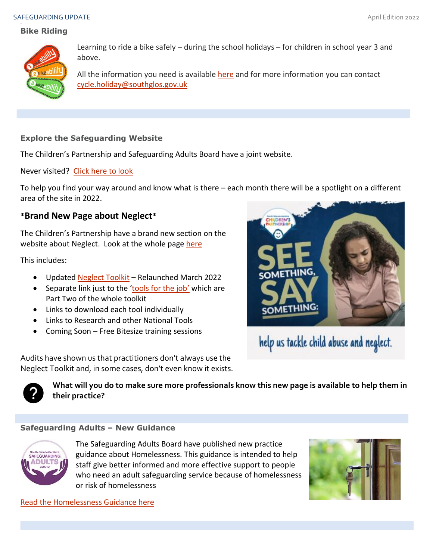#### SAFEGUARDING UPDATE And the state of the state of the state of the state of the state of the state of the state of the state of the state of the state of the state of the state of the state of the state of the state of the

# **Bike Riding**



Learning to ride a bike safely – during the school holidays – for children in school year 3 and above.

All the information you need is available [here](http://intranet-edit/content/CEandCR/Sections/CorporateCommunications/news/Bikeability.pdf) and for more information you can contact [cycle.holiday@southglos.gov.uk](mailto:cycle.holiday@southglos.gov.uk) 

# **Explore the Safeguarding Website**

The Children's Partnership and Safeguarding Adults Board have a joint website.

Never visited? [Click here to look](http://sites.southglos.gov.uk/safeguarding/wp-content/uploads/sites/221/2016/04/QA-Audit-Pre-school-and-under-1s-Dec-2021.pdf)

To help you find your way around and know what is there – each month there will be a spotlight on a different area of the site in 2022.

# **\*Brand New Page about Neglect\***

The Children's Partnership have a brand new section on the website about Neglect. Look at the whole page [here](http://sites.southglos.gov.uk/safeguarding/children/i-am-a-professional/neglect/)

This includes:

- Updated [Neglect Toolkit](http://sites.southglos.gov.uk/safeguarding/wp-content/uploads/sites/221/2018/03/Neglect-Toolkit-Update-2022.pdf) Relaunched March 2022
- Separate link just to the '[tools for the job](http://sites.southglos.gov.uk/safeguarding/wp-content/uploads/sites/221/2018/03/Part-Two-Neglect-toolkit-March-2022.pdf)' which are Part Two of the whole toolkit
- Links to download each tool individually
- Links to Research and other National Tools
- Coming Soon Free Bitesize training sessions





**What will you do to make sure more professionals know this new page is available to help them in their practice?**

# **Safeguarding Adults – New Guidance**



The Safeguarding Adults Board have published new practice guidance about Homelessness. This guidance is intended to help staff give better informed and more effective support to people who need an adult safeguarding service because of homelessness or risk of homelessness



[Read the Homelessness Guidance](http://sites.southglos.gov.uk/safeguarding/wp-content/uploads/sites/221/2015/05/Homelessness-Guidance.pdf) here



help us tackle child abuse and neglect.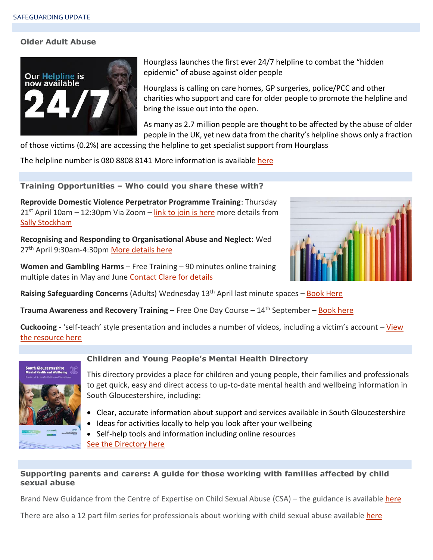#### **Older Adult Abuse**



Hourglass launches the first ever 24/7 helpline to combat the "hidden epidemic" of abuse against older people

Hourglass is calling on care homes, GP surgeries, police/PCC and other charities who support and care for older people to promote the helpline and bring the issue out into the open.

As many as 2.7 million people are thought to be affected by the abuse of older people in the UK, yet new data from the charity's helpline shows only a fraction of those victims (0.2%) are accessing the helpline to get specialist support from Hourglass

The helpline number is 080 8808 8141 More information is available [here](https://wearehourglass.org/hourglass-launches-first-ever-247-helpline-combat-hidden-epidemic-abuse-against-older-people)

**Training Opportunities – Who could you share these with?**

**Reprovide Domestic Violence Perpetrator Programme Training**: Thursday  $21<sup>st</sup>$  April 10am – 12:30pm Via Zoom – [link to join is here](https://us02web.zoom.us/j/86300200985?pwd=QjVkTk12aTdyWDh6bU9lVVIyV0JTZz09) more details from [Sally Stockham](mailto:Sally.Stockham@splitz.org?subject=Perpetrator%20Training%2021%20April)

**Recognising and Responding to Organisational Abuse and Neglect:** Wed 27<sup>th</sup> April 9:30am-4:30p[m More details here](https://learning.southglos.gov.uk/courses/bookings/default.asp?ds=1&keyword=organisational)

**Women and Gambling Harms** – Free Training – 90 minutes online training multiple dates in May and June [Contact Clare for details](mailto:Clare%20Leakey%20%3cclare.leakey@gamcare.org.uk%3e?subject=90%20minute%20Women%20and%20Gambling%20Training)



**Raising Safeguarding Concerns** (Adults) Wednesday 13<sup>th</sup> April last minute spaces – [Book Here](https://learning.southglos.gov.uk/courses/bookings/c_detail.asp?cid=20506&iscancelled=0&curpage=&keyword=raising%20safeguarding%20concerns&ds=1&unconfirmed=&cs=&subid=&keystage=0&sdate=&searchcode=&asearch=&tutid=&estid=&sday=&smonth=&syear=&targetid=&cal=&calday=&calmonth=&calyear=&caldate=&submonth=&subyear=&list=&palist=&frompage=&a=&b=&c=&d=&s_leaid=)

**Trauma Awareness and Recovery Training** – Free One Day Course – 14<sup>th</sup> September – [Book here](https://learning.southglos.gov.uk/courses/bookings/c_detail.asp?cid=20447&ca=1)

**Cuckooing -** 'self-teach' style presentation and includes a number of videos, including a victim's account – [View](https://www.canva.com/design/DAE5RRIbzlI/1SQ0L146E-g5JYsOJfB_pg/view?utm_content=DAE5RRIbzlI&utm_campaign=designshare&utm_medium=link&utm_source=publishsharelink#1)  [the resource here](https://www.canva.com/design/DAE5RRIbzlI/1SQ0L146E-g5JYsOJfB_pg/view?utm_content=DAE5RRIbzlI&utm_campaign=designshare&utm_medium=link&utm_source=publishsharelink#1)



#### **Children and Young People's Mental Health Directory**

This directory provides a place for children and young people, their families and professionals to get quick, easy and direct access to up-to-date mental health and wellbeing information in South Gloucestershire, including:

- Clear, accurate information about support and services available in South Gloucestershire
- Ideas for activities locally to help you look after your wellbeing

• Self-help tools and information including online resources [See the Directory here](https://bnssgccg.nhs.uk/library/south-gloucestershire-mental-health-and-wellbeing-directory-services-children-and-young-people/)

# **Supporting parents and carers: A guide for those working with families affected by child sexual abuse**

Brand New Guidance from the Centre of Expertise on Child Sexual Abuse (CSA) – the guidance is available [here](https://www.csacentre.org.uk/documents/supporting-parents-and-carers-a-guide-for-those-working-with-families-affected-by-child-sexual-abuse/)

There are also a 12 part film series for professionals about working with child sexual abuse available [here](https://www.youtube.com/playlist?list=PLgE8smYzAGVRYbOuzpOdSvFRLwyUlvt4q)